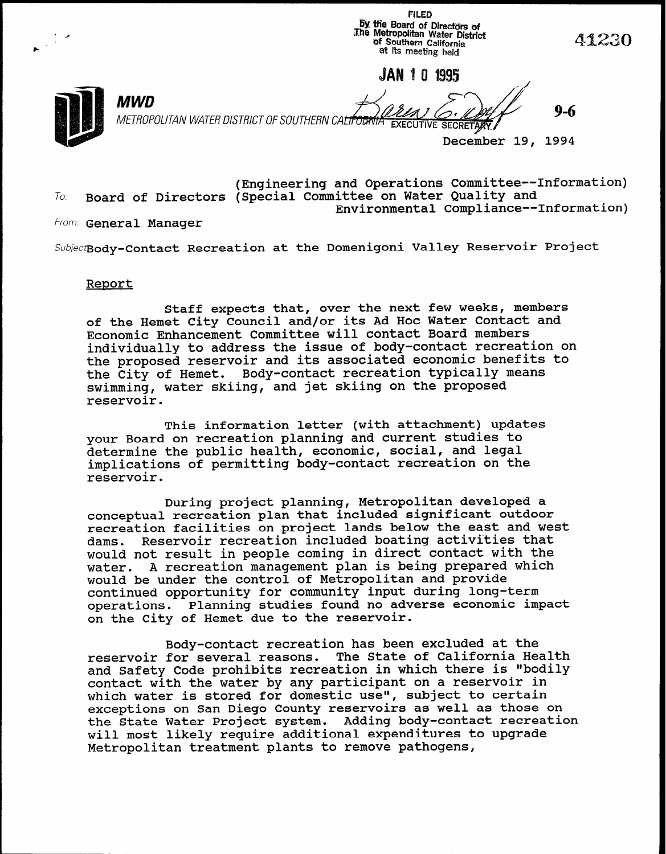**Ey the Board of Directors of**<br>The Metropolitan Water District<br>of Southern California<br>at its Life at its meeting held JAN 1 0 1995 MWD METROPOLITAN WATER DISTRICT OF SOUTHERN CALIFORNIA EXECUTIVE SECRETARY December 19, 1994

**FILED** 

(Engineering and Operations Committee--Information) To. Board of Directors (Special Committee on Water Quality and Environmental Compliance--Information)

From: General Manager

Subjectgody-Contact Recreation at the Domenigoni Valley Reservoir Project

## Report

Staff expects that, over the next few weeks, members of the Hemet City Council and/or its Ad Hoc Water Contact and Economic Enhancement Committee will contact Board members individually to address the issue of body-contact recreation on the proposed reservoir and its associated economic benefits to the City of Hemet. Body-contact recreation typically means swimming, water skiing, and jet skiing on the proposed reservoir.

This information letter (with attachment) updates your Board on recreation planning and current studies to determine the public health, economic, social, and legal implications of permitting body-contact recreation on the reservoir.

During project planning, Metropolitan developed a conceptual recreation plan that included significant outdoor recreation facilities on project lands below the east and west dams. Reservoir recreation included boating activities that would not result in people coming in direct contact with the water. A recreation management plan is being prepared which would be under the control of Metropolitan and provide continued opportunity for community input during long-term operations. Planning studies found no adverse economic impact on the City of Hemet due to the reservoir.

Body-contact recreation has been excluded at the reservoir for several reasons. The State of California Health and Safety Code prohibits recreation in which there is "bodily contact with the water by any participant on a reservoir in which water is stored for domestic use", subject to certa exceptions on San Diego County reservoirs as well as those on the State Water Project system. Adding body-contact recreation will most likely require additional expenditures to upgrade Metropolitan treatment plants to remove pathogens,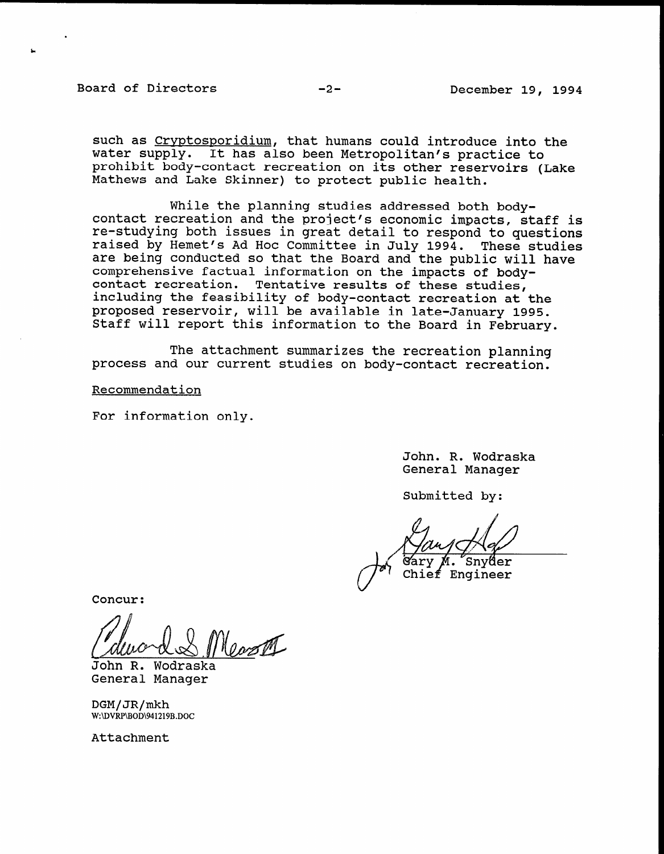## Board of Directors -2-<br>
-2-<br>
December 19, 1994

L

such as Cryptosporidium, that humans could introduce into the water supply. It has also been Metropolitan's practice to prohibit body-contact recreation on its other reservoirs (Lake Mathews and Lake Skinner) to protect public health.

While the planning studies addressed both bodycontact recreation and the project's economic impacts, staff is re-studying both issues in great detail to respond to questions raised by Hemet's Ad Hoc Committee in July 1994. These studies are being conducted so that the Board and the public will have comprehensive factual information on the impacts of bodycontact recreation. Tentative results of these studies, including the feasibility of body-contact recreation at the proposed reservoir, will be available in late-January 1995. Staff will report this information to the Board in February.

The attachment summarizes the recreation planning process and our current studies on body-contact recreation.

Recommendation

For information only.

John. R. Wodraska JONN. K. WOOLds

Submitted by:

Engineer

Concur:

<u>Monday</u>

John R. Wodraska<br>General Manager

 $DGM/JR/mkh$  $W:\Dvee R\rightarrow 941219B.DOC$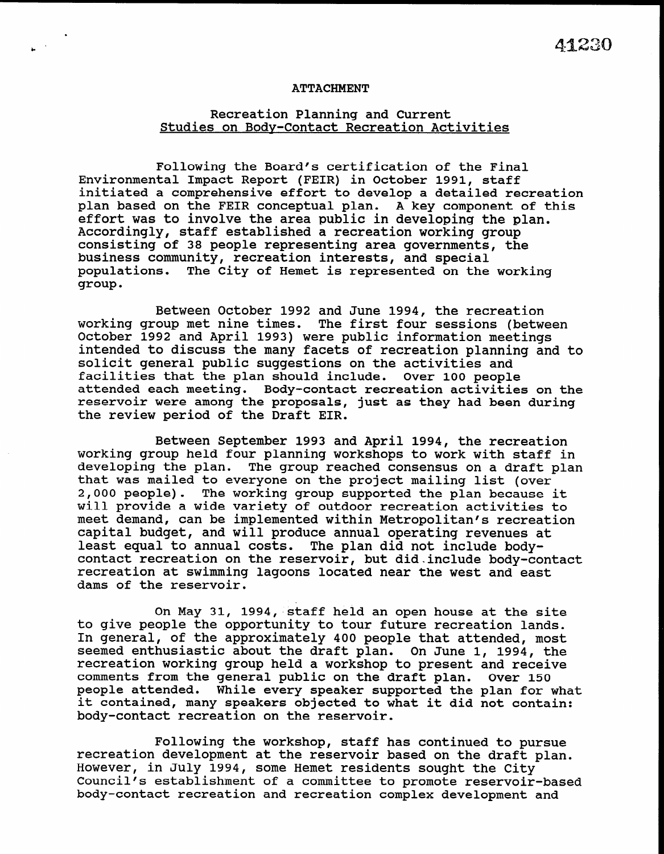## ATTACHMENT

.

## Recreation Planning and Current Studies on Bodv-Contact Recreation Activities

Following the Board's certification of the Final Environmental Impact Report (FEIR) in October 1991, staff initiated a comprehensive effort to develop a detailed recreation plan based on the FEIR conceptual plan. A key component of this effort was to involve the area public in developing the plan. Accordingly, staff established a recreation working group consisting of 38 people representing area governments, the business community, recreation interests, and special populations. The City of Hemet is represented on the working group.

Between October 1992 and June 1994, the recreation working group met nine times. The first four sessions (between October 1992 and April 1993) were public information meetings intended to discuss the many facets of recreation planning and to solicit general public suggestions on the activities and facilities that the plan should include. Over 100 people attended each meeting. Body-contact recreation activities on the reservoir were among the proposals, just as they had been during the review period of the Draft EIR.

Between September 1993 and April 1994, the recreation working group held four planning workshops to work with staff in working group neig four planning workshops to work with staff in<br>developing the plan... The group reached consensus on a dust plan developing the pian. The group reached consensus on a draft that was mailed to everyone on the project mailing list (over 2,000 people). The working group supported the plan because it will provide a wide variety of outdoor recreation activities to meet demand, can be implemented within Metropolitan's recreation capital budget, and will produce annual operating revenues at least equal to annual costs. The plan did not include bodycontact recreation on the reservoir, but did include body-contact recreation at swimming lagoons located near the west and east dams of the reservoir.

On May 31, 1994, staff held an open house at the site on May 31, 1994, staff held an open house at the sit to give people the opportunity to tour future recreation lands. In general, of the approximately 400 people that attended, most seemed enthusiastic about the draft plan. On June 1, 1994, the recreation working group held a workshop to present and receive comments from the general public on the draft plan. Over 150 people attended. While every speaker supported the plan for what it contained, many speakers objected to what it did not contain:<br>body-contact recreation on the reservoir.

Following the workshop, staff has continued to pursue recreation development at the reservoir based on the draft plan. However, in July 1994, some Hemet residents sought the City Council's establishment of a committee to promote reservoir-based body-contact recreation and recreation complex development and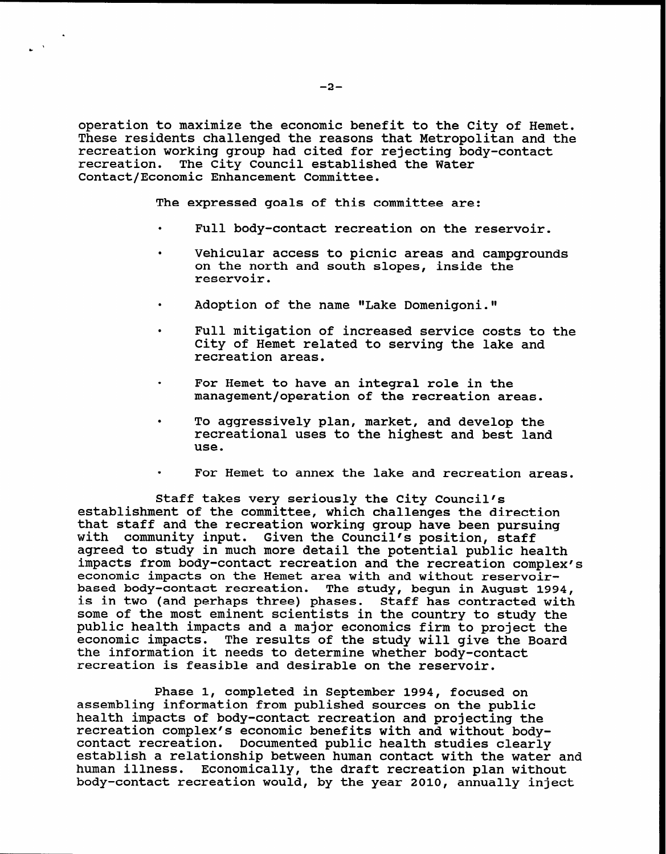operation to maximize the economic benefit to the City of Hemet. These residents challenged the reasons that Metropolitan and the recreation working group had cited for rejecting body-contact recreation. The City Council established the Water Contact/Economic Enhancement Committee.

The expressed goals of this committee are:

- . Full body-contact recreation on the reservoir.
- . Vehicular access to picnic areas and campgrounds on the north and south slopes, inside the reservoir.
- Adoption of the name "Lake Domenigoni."
- . Full mitigation of increased service costs to the City of Hemet related to serving the lake and recreation areas.
- . For Hemet to have an integral role in the management/operation of the recreation areas.
- . To aggressively plan, market, and develop the recreational uses to the highest and best land use.
- . For Hemet to annex the lake and recreation areas.

Staff takes very seriously the City Council's establishment of the committee, which challenges the direction that staff and the recreation working group have been pursuing with community input. Given the Council's position, staff agreed to study in much more detail the potential public health impacts from body-contact recreation and the recreation complex's economic impacts on the Hemet area with and without reservoirbased body-contact recreation. The study, begun in August 1994, is in two (and perhaps three) phases. Staff has contracted with some of the most eminent scientists in the country to study the public health impacts and a major economics firm to project the economic impacts. The results of the study will give the Board the information it needs to determine whether body-contact recreation is feasible and desirable on the reservoir.

Phase 1, completed in September 1994, focused on assembling information from published sources on the public health impacts of body-contact recreation and projecting the recreation complex's economic benefits with and without bodycontact recreation. Documented public health studies clearly establish a relationship between human contact with the water and human illness. Economically, the draft recreation plan without body-contact recreation would, by the year 2010, annually inject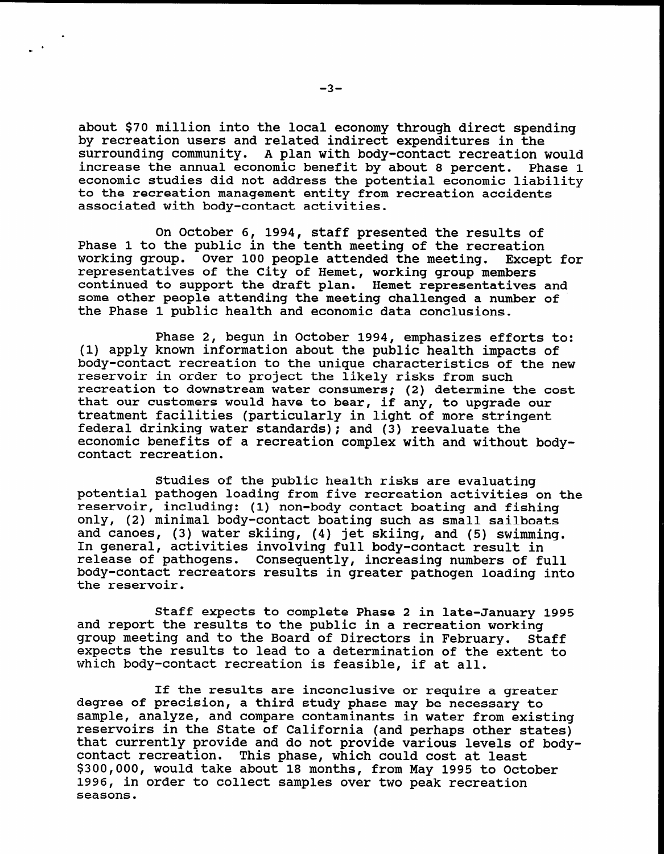about \$70 million into the local economy through direct spending by recreation users and related indirect expenditures in the surrounding community. A plan with body-contact recreation would increase the annual economic benefit by about 8 percent. Phase 1 economic studies did not address the potential economic liability to the recreation management entity from recreation accidents associated with body-contact activities.

On October 6, 1994, staff presented the results of Phase 1 to the public in the tenth meeting of the recreation working group. Over 100 people attended the meeting. Except for representatives of the City of Hemet, working group members continued to support the draft plan. Hemet representatives and some other people attending the meeting challenged a number of the Phase 1 public health and economic data conclusions.

Phase 2, begun in October 1994, emphasizes efforts to: (1) apply known information about the public health impacts of body-contact recreation to the unique characteristics of the new reservoir in order to project the likely risks from such recreation to downstream water consumers; (2) determine the cost that our customers would have to bear, if any, to upgrade our that our customers would have to bear, it any, to upgrade ( federal drinking water standards); and (3) reevaluate the federal drinking water standards); and (3) reevaluate the economic benefits of a recreation complex with and without body-<br>contact recreation.

Studies of the public health risks are evaluating potential pathogen is the public nearth risks are evaluating  $\epsilon$ potential pathogen loading from five recreation activities on the reservoir, including: (1) non-body contact boating and fishing only, (2) minimal body-contact boating such as small sailboats and canoes, (3) water skiing, (4) jet skiing, and (5) swimming. In general, activities involving full body-contact result in release of pathogens. Consequently, increasing numbers of full body-contact recreators results in greater pathogen loading into<br>the reservoir.

 $\mathbf{S}$  and  $\mathbf{S}$  in late-January 1995  $\mathbf{S}$  in late-January 1995  $\mathbf{S}$  in late-January 1995  $\mathbf{S}$ and report to complete Phase 2 in late-January and report the results to the public in a recreation working<br>group meeting and to the Board of Directors in February. Staff group meeting and to the Board of Directors in February. expects the results to lead to a determination of the extent to which body-contact recreation is feasible, if at all.

If the results are income or require a greater and  $\alpha$ 

If the results are inconclusive or require a great degree of precision, a third study phase may be necessary to sample, analyze, and compare contaminants in water from existing reservoirs in the State of California (and perhaps other states) that currently provide and do not provide various levels of bodycontact recreation. This phase, which could cost at least \$300,000, would take about 18 months, from May 1995 to October 1996, in order to collect samples over two peak recreation seasons.